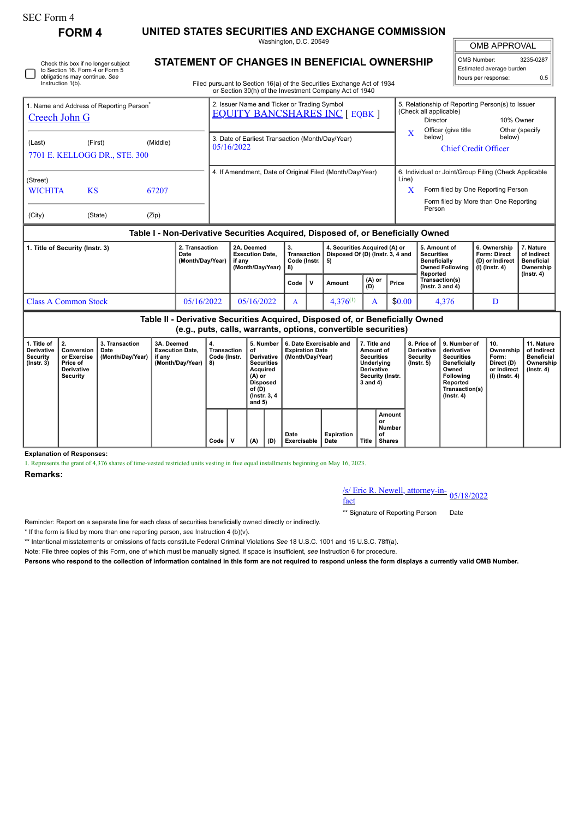## SEC Form 4

Check this box if no longer subject

**FORM 4 UNITED STATES SECURITIES AND EXCHANGE COMMISSION**

Washington, D.C. 20549 **STATEMENT OF CHANGES IN BENEFICIAL OWNERSHIP**

OMB APPROVAL

OMB Number: 3235-0287 Estimated average burden hours per response: 0.5

| 2. Transaction<br>1. Title of Security (Instr. 3)<br>Date             |                                                                  |       |  | 2A. Deemed<br><b>Execution Date.</b>                           | 3.<br>Transaction | 4. Securities Acquired (A) or<br>Disposed Of (D) (Instr. 3, 4 and                |            | 5. Amount of<br><b>Securities</b>                                                                             | 6. Ownership<br><b>Form: Direct</b>                                                         | 7. Nature<br>of Indirect     |
|-----------------------------------------------------------------------|------------------------------------------------------------------|-------|--|----------------------------------------------------------------|-------------------|----------------------------------------------------------------------------------|------------|---------------------------------------------------------------------------------------------------------------|---------------------------------------------------------------------------------------------|------------------------------|
|                                                                       |                                                                  |       |  |                                                                |                   | Table I - Non-Derivative Securities Acquired, Disposed of, or Beneficially Owned |            |                                                                                                               |                                                                                             |                              |
| (City)                                                                | (State)                                                          | (Zip) |  |                                                                |                   |                                                                                  |            | Person                                                                                                        | Form filed by More than One Reporting                                                       |                              |
| (Street)<br><b>KS</b><br><b>WICHITA</b><br>67207                      |                                                                  |       |  | 4. If Amendment, Date of Original Filed (Month/Day/Year)       |                   |                                                                                  | Line)<br>X |                                                                                                               | 6. Individual or Joint/Group Filing (Check Applicable<br>Form filed by One Reporting Person |                              |
| (Middle)<br>(Last)<br>(First)<br>7701 E. KELLOGG DR., STE. 300        |                                                                  |       |  | 3. Date of Earliest Transaction (Month/Day/Year)<br>05/16/2022 |                   |                                                                                  |            | below)                                                                                                        | below)<br><b>Chief Credit Officer</b>                                                       |                              |
| 1. Name and Address of Reporting Person <sup>®</sup><br>Creech John G |                                                                  |       |  | 2. Issuer Name and Ticker or Trading Symbol                    |                   | <b>EQUITY BANCSHARES INC [ EQBK ]</b>                                            |            | 5. Relationship of Reporting Person(s) to Issuer<br>(Check all applicable)<br>Director<br>Officer (give title |                                                                                             | 10% Owner<br>Other (specify) |
| Instruction 1(b).                                                     | to Section 16. Form 4 or Form 5<br>obligations may continue. See |       |  | or Section 30(h) of the Investment Company Act of 1940         |                   | Filed pursuant to Section 16(a) of the Securities Exchange Act of 1934           |            |                                                                                                               | Estimated average burden<br>hours per response:                                             | 0.5                          |

|                      | Dale<br>(Month/Day/Year) | EXECUTION DATE.<br>if anv<br>(Month/Dav/Year) | Code (Instr. $\vert 5 \rangle$<br>-8) |    | $\mu$ indisaction   Disposed Of (D) (instr. 3, 4 and |                         |        | <b>Securities</b><br><b>Beneficially</b><br>Owned Following   (I) (Instr. 4)<br>Reported | ronn. Direct<br>D) or Indirect) ا | or manect<br>Beneficial<br>Ownership<br>$($ lnstr. 4 $)$ |
|----------------------|--------------------------|-----------------------------------------------|---------------------------------------|----|------------------------------------------------------|-------------------------|--------|------------------------------------------------------------------------------------------|-----------------------------------|----------------------------------------------------------|
|                      |                          |                                               | Code                                  | ۱V | Amount                                               | $(A)$ or $\vert$<br>(D) | Price  | Transaction(s)<br>$($ lnstr. 3 and 4 $)$                                                 |                                   |                                                          |
| Class A Common Stock | 05/16/2022               | 05/16/2022                                    |                                       |    | $4.376^{(1)}$                                        |                         | \$0.00 | 4.376                                                                                    |                                   |                                                          |

**Table II - Derivative Securities Acquired, Disposed of, or Beneficially Owned (e.g., puts, calls, warrants, options, convertible securities)**

| 1. Title of<br><b>Derivative</b><br>Security<br>$($ lnstr. 3 $)$ | I 2.<br>Conversion<br>or Exercise<br><b>Price of</b><br>Derivative<br>Security | 3. Transaction<br>Date<br>(Month/Day/Year) | 3A. Deemed<br><b>Execution Date.</b><br>if any<br>(Month/Day/Year) | 4.<br>Transaction<br>Code (Instr.<br>8) |  | 5. Number<br>of<br>Derivative<br><b>Securities</b><br>Acquired<br>$(A)$ or<br>Disposed<br>of (D)<br><sup>1</sup> (Instr. 3, 4<br>and $5)$ |     | 6. Date Exercisable and<br><b>Expiration Date</b><br>(Month/Day/Year) |                           | 7. Title and<br>Amount of<br><b>Securities</b><br>Underlying<br>Derivative<br>Security (Instr.<br>3 and 4) |                                        | 8. Price of I<br><b>Derivative</b><br>Security<br>(Instr. 5) | 9. Number of<br>derivative<br><b>Securities</b><br><b>Beneficially</b><br>Owned<br>Following<br>Reported<br>Transaction(s)<br>$($ lnstr. 4 $)$ | 10.<br>Ownership<br>Form:<br>Direct (D)<br>or Indirect<br>(I) (Instr. 4) | 11. Nature<br>of Indirect<br><b>Beneficial</b><br>Ownership  <br>$($ lnstr. 4 $)$ |
|------------------------------------------------------------------|--------------------------------------------------------------------------------|--------------------------------------------|--------------------------------------------------------------------|-----------------------------------------|--|-------------------------------------------------------------------------------------------------------------------------------------------|-----|-----------------------------------------------------------------------|---------------------------|------------------------------------------------------------------------------------------------------------|----------------------------------------|--------------------------------------------------------------|------------------------------------------------------------------------------------------------------------------------------------------------|--------------------------------------------------------------------------|-----------------------------------------------------------------------------------|
|                                                                  |                                                                                |                                            |                                                                    | Code                                    |  | (A)                                                                                                                                       | (D) | Date<br><b>Exercisable</b>                                            | <b>Expiration</b><br>Date | <b>Title</b>                                                                                               | Amount<br>or<br>Number<br>οf<br>Shares |                                                              |                                                                                                                                                |                                                                          |                                                                                   |

**Explanation of Responses:**

1. Represents the grant of 4,376 shares of time-vested restricted units vesting in five equal installments beginning on May 16, 2023.

**Remarks:**

## /s/ Eric R. Newell, attorney-in-<br>fact

\*\* Signature of Reporting Person Date

Reminder: Report on a separate line for each class of securities beneficially owned directly or indirectly.

\* If the form is filed by more than one reporting person, *see* Instruction 4 (b)(v).

\*\* Intentional misstatements or omissions of facts constitute Federal Criminal Violations *See* 18 U.S.C. 1001 and 15 U.S.C. 78ff(a).

Note: File three copies of this Form, one of which must be manually signed. If space is insufficient, *see* Instruction 6 for procedure.

**Persons who respond to the collection of information contained in this form are not required to respond unless the form displays a currently valid OMB Number.**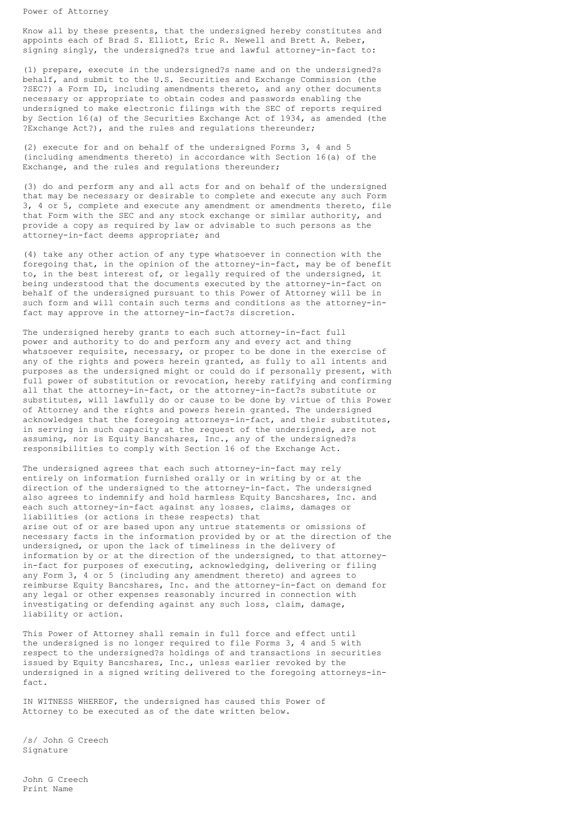Power of Attorney

Know all by these presents, that the undersigned hereby constitutes and appoints each of Brad S. Elliott, Eric R. Newell and Brett A. Reber, signing singly, the undersigned?s true and lawful attorney-in-fact to:

(1) prepare, execute in the undersigned?s name and on the undersigned?s behalf, and submit to the U.S. Securities and Exchange Commission (the ?SEC?) a Form ID, including amendments thereto, and any other documents necessary or appropriate to obtain codes and passwords enabling the undersigned to make electronic filings with the SEC of reports required by Section 16(a) of the Securities Exchange Act of 1934, as amended (the ?Exchange Act?), and the rules and regulations thereunder;

(2) execute for and on behalf of the undersigned Forms 3, 4 and 5 (including amendments thereto) in accordance with Section 16(a) of the Exchange, and the rules and regulations thereunder;

(3) do and perform any and all acts for and on behalf of the undersigned that may be necessary or desirable to complete and execute any such Form 3, 4 or 5, complete and execute any amendment or amendments thereto, file that Form with the SEC and any stock exchange or similar authority, and provide a copy as required by law or advisable to such persons as the attorney-in-fact deems appropriate; and

(4) take any other action of any type whatsoever in connection with the foregoing that, in the opinion of the attorney-in-fact, may be of benefit to, in the best interest of, or legally required of the undersigned, it being understood that the documents executed by the attorney-in-fact on behalf of the undersigned pursuant to this Power of Attorney will be in such form and will contain such terms and conditions as the attorney-infact may approve in the attorney-in-fact?s discretion.

The undersigned hereby grants to each such attorney-in-fact full power and authority to do and perform any and every act and thing whatsoever requisite, necessary, or proper to be done in the exercise of any of the rights and powers herein granted, as fully to all intents and purposes as the undersigned might or could do if personally present, with full power of substitution or revocation, hereby ratifying and confirming all that the attorney-in-fact, or the attorney-in-fact?s substitute or substitutes, will lawfully do or cause to be done by virtue of this Power of Attorney and the rights and powers herein granted. The undersigned acknowledges that the foregoing attorneys-in-fact, and their substitutes, in serving in such capacity at the request of the undersigned, are not assuming, nor is Equity Bancshares, Inc., any of the undersigned?s responsibilities to comply with Section 16 of the Exchange Act.

The undersigned agrees that each such attorney-in-fact may rely entirely on information furnished orally or in writing by or at the direction of the undersigned to the attorney-in-fact. The undersigned also agrees to indemnify and hold harmless Equity Bancshares, Inc. and each such attorney-in-fact against any losses, claims, damages or liabilities (or actions in these respects) that arise out of or are based upon any untrue statements or omissions of necessary facts in the information provided by or at the direction of the undersigned, or upon the lack of timeliness in the delivery of information by or at the direction of the undersigned, to that attorneyin-fact for purposes of executing, acknowledging, delivering or filing any Form 3, 4 or 5 (including any amendment thereto) and agrees to reimburse Equity Bancshares, Inc. and the attorney-in-fact on demand for any legal or other expenses reasonably incurred in connection with investigating or defending against any such loss, claim, damage, liability or action.

This Power of Attorney shall remain in full force and effect until the undersigned is no longer required to file Forms 3, 4 and 5 with respect to the undersigned?s holdings of and transactions in securities issued by Equity Bancshares, Inc., unless earlier revoked by the undersigned in a signed writing delivered to the foregoing attorneys-infact.

IN WITNESS WHEREOF, the undersigned has caused this Power of Attorney to be executed as of the date written below.

/s/ John G Creech Signature

John G Creech Print Name